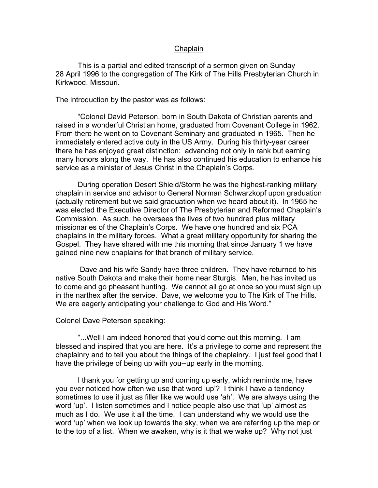## Chaplain

 This is a partial and edited transcript of a sermon given on Sunday 28 April 1996 to the congregation of The Kirk of The Hills Presbyterian Church in Kirkwood, Missouri.

The introduction by the pastor was as follows:

 "Colonel David Peterson, born in South Dakota of Christian parents and raised in a wonderful Christian home, graduated from Covenant College in 1962. From there he went on to Covenant Seminary and graduated in 1965. Then he immediately entered active duty in the US Army. During his thirty-year career there he has enjoyed great distinction: advancing not only in rank but earning many honors along the way. He has also continued his education to enhance his service as a minister of Jesus Christ in the Chaplain's Corps.

 During operation Desert Shield/Storm he was the highest-ranking military chaplain in service and advisor to General Norman Schwarzkopf upon graduation (actually retirement but we said graduation when we heard about it). In 1965 he was elected the Executive Director of The Presbyterian and Reformed Chaplain's Commission. As such, he oversees the lives of two hundred plus military missionaries of the Chaplain's Corps. We have one hundred and six PCA chaplains in the military forces. What a great military opportunity for sharing the Gospel. They have shared with me this morning that since January 1 we have gained nine new chaplains for that branch of military service.

 Dave and his wife Sandy have three children. They have returned to his native South Dakota and make their home near Sturgis. Men, he has invited us to come and go pheasant hunting. We cannot all go at once so you must sign up in the narthex after the service. Dave, we welcome you to The Kirk of The Hills. We are eagerly anticipating your challenge to God and His Word."

## Colonel Dave Peterson speaking:

 "...Well I am indeed honored that you'd come out this morning. I am blessed and inspired that you are here. It's a privilege to come and represent the chaplainry and to tell you about the things of the chaplainry. I just feel good that I have the privilege of being up with you--up early in the morning.

 I thank you for getting up and coming up early, which reminds me, have you ever noticed how often we use that word 'up'? I think I have a tendency sometimes to use it just as filler like we would use 'ah'. We are always using the word 'up'. I listen sometimes and I notice people also use that 'up' almost as much as I do. We use it all the time. I can understand why we would use the word 'up' when we look up towards the sky, when we are referring up the map or to the top of a list. When we awaken, why is it that we wake up? Why not just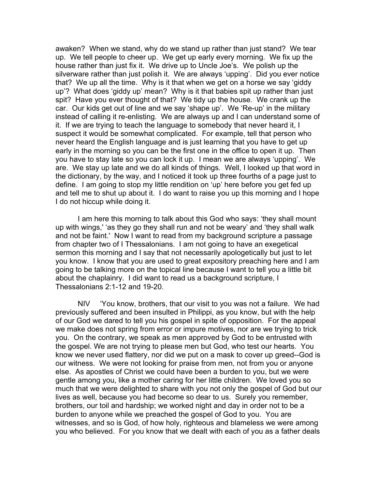awaken? When we stand, why do we stand up rather than just stand? We tear up. We tell people to cheer up. We get up early every morning. We fix up the house rather than just fix it. We drive up to Uncle Joe's. We polish up the silverware rather than just polish it. We are always 'upping'. Did you ever notice that? We up all the time. Why is it that when we get on a horse we say 'giddy up'? What does 'giddy up' mean? Why is it that babies spit up rather than just spit? Have you ever thought of that? We tidy up the house. We crank up the car. Our kids get out of line and we say 'shape up'. We 'Re-up' in the military instead of calling it re-enlisting. We are always up and I can understand some of it. If we are trying to teach the language to somebody that never heard it, I suspect it would be somewhat complicated. For example, tell that person who never heard the English language and is just learning that you have to get up early in the morning so you can be the first one in the office to open it up. Then you have to stay late so you can lock it up. I mean we are always 'upping'. We are. We stay up late and we do all kinds of things. Well, I looked up that word in the dictionary, by the way, and I noticed it took up three fourths of a page just to define. I am going to stop my little rendition on 'up' here before you get fed up and tell me to shut up about it. I do want to raise you up this morning and I hope I do not hiccup while doing it.

 I am here this morning to talk about this God who says: 'they shall mount up with wings,' 'as they go they shall run and not be weary' and 'they shall walk and not be faint.' Now I want to read from my background scripture a passage from chapter two of I Thessalonians. I am not going to have an exegetical sermon this morning and I say that not necessarily apologetically but just to let you know. I know that you are used to great expository preaching here and I am going to be talking more on the topical line because I want to tell you a little bit about the chaplainry. I did want to read us a background scripture, I Thessalonians 2:1-12 and 19-20.

 NIV 'You know, brothers, that our visit to you was not a failure. We had previously suffered and been insulted in Philippi, as you know, but with the help of our God we dared to tell you his gospel in spite of opposition. For the appeal we make does not spring from error or impure motives, nor are we trying to trick you. On the contrary, we speak as men approved by God to be entrusted with the gospel. We are not trying to please men but God, who test our hearts. You know we never used flattery, nor did we put on a mask to cover up greed--God is our witness. We were not looking for praise from men, not from you or anyone else. As apostles of Christ we could have been a burden to you, but we were gentle among you, like a mother caring for her little children. We loved you so much that we were delighted to share with you not only the gospel of God but our lives as well, because you had become so dear to us. Surely you remember, brothers, our toil and hardship; we worked night and day in order not to be a burden to anyone while we preached the gospel of God to you. You are witnesses, and so is God, of how holy, righteous and blameless we were among you who believed. For you know that we dealt with each of you as a father deals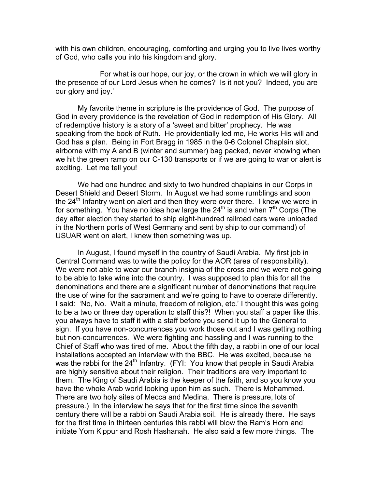with his own children, encouraging, comforting and urging you to live lives worthy of God, who calls you into his kingdom and glory.

 For what is our hope, our joy, or the crown in which we will glory in the presence of our Lord Jesus when he comes? Is it not you? Indeed, you are our glory and joy.'

 My favorite theme in scripture is the providence of God. The purpose of God in every providence is the revelation of God in redemption of His Glory. All of redemptive history is a story of a 'sweet and bitter' prophecy. He was speaking from the book of Ruth. He providentially led me, He works His will and God has a plan. Being in Fort Bragg in 1985 in the 0-6 Colonel Chaplain slot, airborne with my A and B (winter and summer) bag packed, never knowing when we hit the green ramp on our C-130 transports or if we are going to war or alert is exciting. Let me tell you!

 We had one hundred and sixty to two hundred chaplains in our Corps in Desert Shield and Desert Storm. In August we had some rumblings and soon the 24<sup>th</sup> Infantry went on alert and then they were over there. I knew we were in for something. You have no idea how large the  $24<sup>th</sup>$  is and when  $7<sup>th</sup>$  Corps (The day after election they started to ship eight-hundred railroad cars were unloaded in the Northern ports of West Germany and sent by ship to our command) of USUAR went on alert, I knew then something was up.

 In August, I found myself in the country of Saudi Arabia. My first job in Central Command was to write the policy for the AOR (area of responsibility). We were not able to wear our branch insignia of the cross and we were not going to be able to take wine into the country. I was supposed to plan this for all the denominations and there are a significant number of denominations that require the use of wine for the sacrament and we're going to have to operate differently. I said: 'No, No. Wait a minute, freedom of religion, etc.' I thought this was going to be a two or three day operation to staff this?! When you staff a paper like this, you always have to staff it with a staff before you send it up to the General to sign. If you have non-concurrences you work those out and I was getting nothing but non-concurrences. We were fighting and hassling and I was running to the Chief of Staff who was tired of me. About the fifth day, a rabbi in one of our local installations accepted an interview with the BBC. He was excited, because he was the rabbi for the 24<sup>th</sup> Infantry. (FYI: You know that people in Saudi Arabia are highly sensitive about their religion. Their traditions are very important to them. The King of Saudi Arabia is the keeper of the faith, and so you know you have the whole Arab world looking upon him as such. There is Mohammed. There are two holy sites of Mecca and Medina. There is pressure, lots of pressure.) In the interview he says that for the first time since the seventh century there will be a rabbi on Saudi Arabia soil. He is already there. He says for the first time in thirteen centuries this rabbi will blow the Ram's Horn and initiate Yom Kippur and Rosh Hashanah. He also said a few more things. The